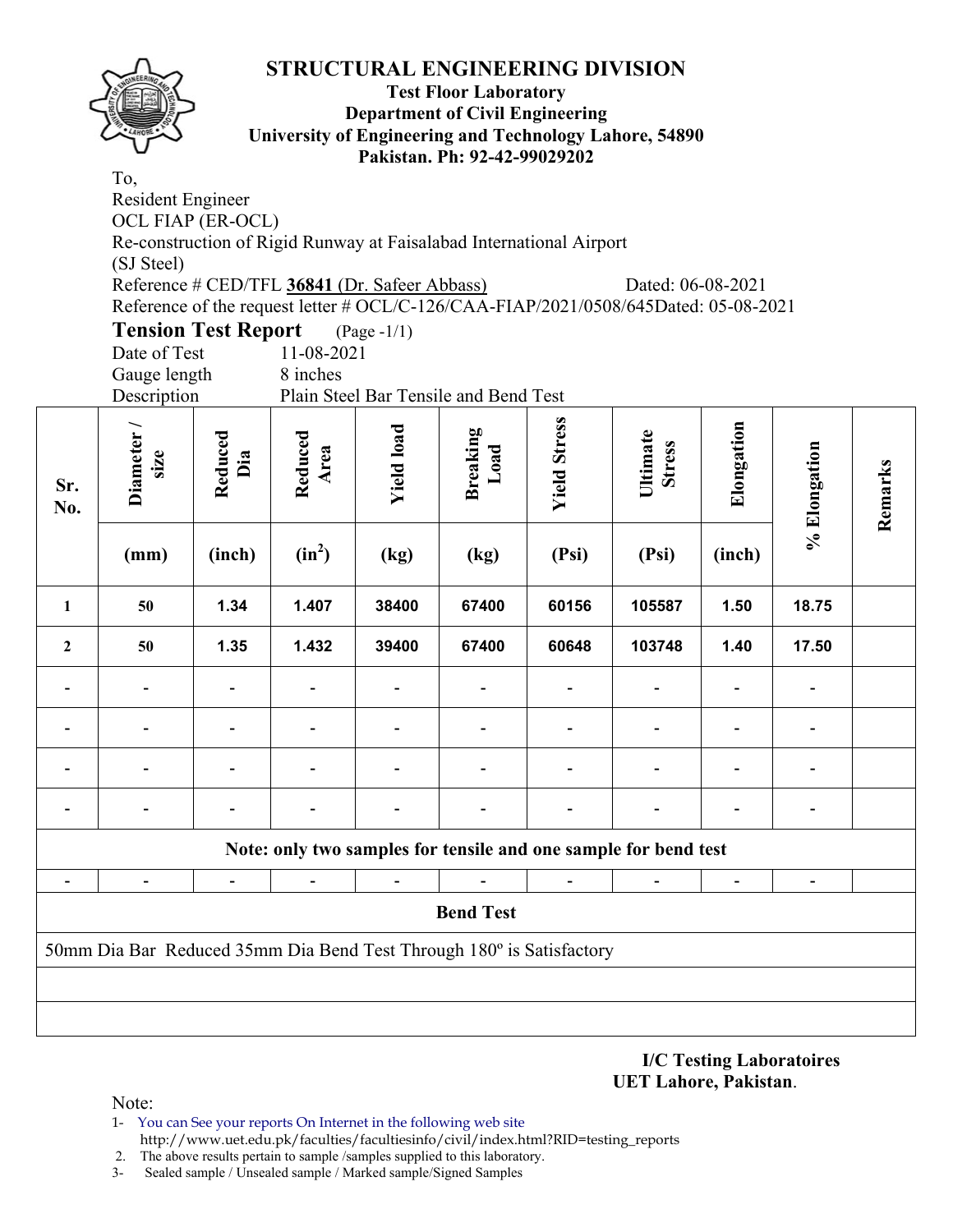

#### **Test Floor Laboratory Department of Civil Engineering University of Engineering and Technology Lahore, 54890 Pakistan. Ph: 92-42-99029202**

To, Resident Engineer OCL FIAP (ER-OCL) Re-construction of Rigid Runway at Faisalabad International Airport (SJ Steel) Reference # CED/TFL **36841** (Dr. Safeer Abbass) Dated: 06-08-2021 Reference of the request letter # OCL/C-126/CAA-FIAP/2021/0508/645Dated: 05-08-2021 **Tension Test Report** (Page -1/1)

Date of Test 11-08-2021 Gauge length 8 inches

Description Plain Steel Bar Tensile and Bend Test

| Sr.<br>No.     | Diameter/<br>size<br>(mm)                                            | Reduced<br>Dia<br>(inch) | Reduced<br>Area<br>$(in^2)$ | <b>Yield load</b><br>(kg) | <b>Breaking</b><br>Load<br>(kg)                                 | <b>Yield Stress</b><br>(Psi) | Ultimate<br><b>Stress</b><br>(Psi) | Elongation<br>(inch)         | % Elongation                 | Remarks |
|----------------|----------------------------------------------------------------------|--------------------------|-----------------------------|---------------------------|-----------------------------------------------------------------|------------------------------|------------------------------------|------------------------------|------------------------------|---------|
| $\mathbf{1}$   | 50                                                                   | 1.34                     | 1.407                       | 38400                     | 67400                                                           | 60156                        | 105587                             | 1.50                         | 18.75                        |         |
| $\overline{2}$ | 50                                                                   | 1.35                     | 1.432                       | 39400                     | 67400                                                           | 60648                        | 103748                             | 1.40                         | 17.50                        |         |
|                | $\overline{\phantom{0}}$                                             |                          |                             |                           |                                                                 |                              |                                    |                              |                              |         |
|                |                                                                      |                          |                             |                           |                                                                 |                              |                                    |                              |                              |         |
|                |                                                                      |                          |                             |                           |                                                                 |                              |                                    |                              |                              |         |
|                |                                                                      |                          |                             |                           |                                                                 |                              |                                    |                              |                              |         |
|                |                                                                      |                          |                             |                           | Note: only two samples for tensile and one sample for bend test |                              |                                    |                              |                              |         |
| $\blacksquare$ | $\frac{1}{2}$                                                        | $\blacksquare$           | $\blacksquare$              | $\blacksquare$            |                                                                 | $\blacksquare$               | $\blacksquare$                     | $\qquad \qquad \blacksquare$ | $\qquad \qquad \blacksquare$ |         |
|                | <b>Bend Test</b>                                                     |                          |                             |                           |                                                                 |                              |                                    |                              |                              |         |
|                | 50mm Dia Bar Reduced 35mm Dia Bend Test Through 180° is Satisfactory |                          |                             |                           |                                                                 |                              |                                    |                              |                              |         |
|                |                                                                      |                          |                             |                           |                                                                 |                              |                                    |                              |                              |         |
|                |                                                                      |                          |                             |                           |                                                                 |                              |                                    |                              |                              |         |

#### **I/C Testing Laboratoires UET Lahore, Pakistan**.

- 1- You can See your reports On Internet in the following web site http://www.uet.edu.pk/faculties/facultiesinfo/civil/index.html?RID=testing\_reports
- 2. The above results pertain to sample /samples supplied to this laboratory.
- 3- Sealed sample / Unsealed sample / Marked sample/Signed Samples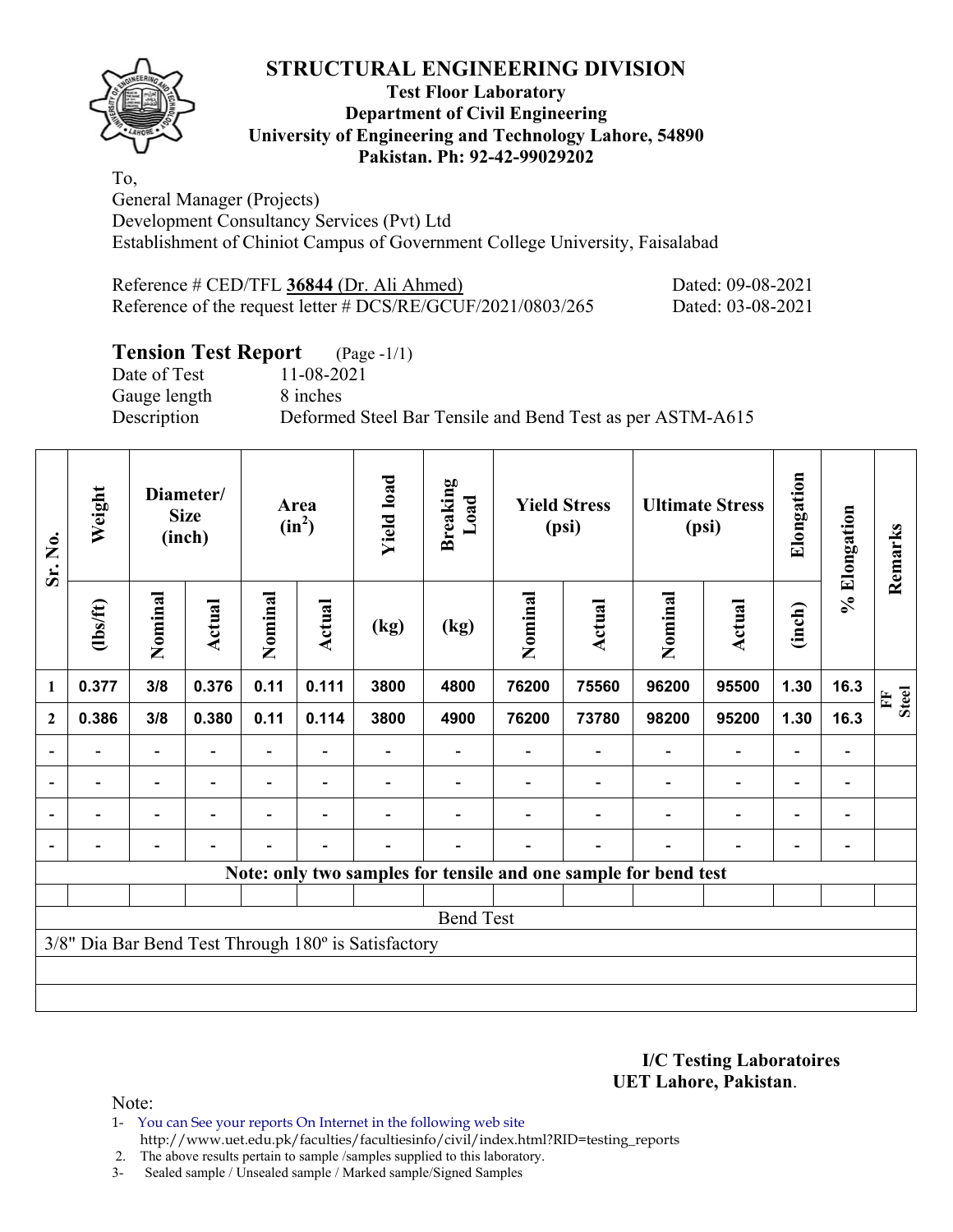

### **Test Floor Laboratory Department of Civil Engineering University of Engineering and Technology Lahore, 54890 Pakistan. Ph: 92-42-99029202**

To, General Manager (Projects) Development Consultancy Services (Pvt) Ltd Establishment of Chiniot Campus of Government College University, Faisalabad

| Reference # CED/TFL 36844 (Dr. Ali Ahmed)                     | Dated: 09-08-2021 |
|---------------------------------------------------------------|-------------------|
| Reference of the request letter $\#DCS/RE/GCUF/2021/0803/265$ | Dated: 03-08-2021 |

# **Tension Test Report** (Page -1/1)

Date of Test 11-08-2021 Gauge length 8 inches

Description Deformed Steel Bar Tensile and Bend Test as per ASTM-A615

| Sr. No.        | Weight                   |                          | Diameter/<br><b>Size</b><br>(inch) |                | Area<br>$(in^2)$         | <b>Yield load</b>                                   | <b>Breaking</b><br>Load | <b>Yield Stress</b><br>(psi) |                                                                 | <b>Ultimate Stress</b><br>(psi) |                          | Elongation               | % Elongation                 | Remarks           |
|----------------|--------------------------|--------------------------|------------------------------------|----------------|--------------------------|-----------------------------------------------------|-------------------------|------------------------------|-----------------------------------------------------------------|---------------------------------|--------------------------|--------------------------|------------------------------|-------------------|
|                | (1bs/ft)                 | Nominal                  | Actual                             | Nominal        | Actual                   | (kg)                                                | (kg)                    | Nominal                      | Actual                                                          | Nominal                         | Actual                   | (inch)                   |                              |                   |
| 1              | 0.377                    | 3/8                      | 0.376                              | 0.11           | 0.111                    | 3800                                                | 4800                    | 76200                        | 75560                                                           | 96200                           | 95500                    | 1.30                     | 16.3                         | <b>Steel</b><br>E |
| $\overline{2}$ | 0.386                    | 3/8                      | 0.380                              | 0.11           | 0.114                    | 3800                                                | 4900                    | 76200                        | 73780                                                           | 98200                           | 95200                    | 1.30                     | 16.3                         |                   |
|                |                          | $\overline{\phantom{0}}$ |                                    |                |                          |                                                     |                         |                              |                                                                 |                                 | $\overline{\phantom{0}}$ | $\overline{\phantom{0}}$ |                              |                   |
|                | $\overline{\phantom{0}}$ | $\overline{\phantom{a}}$ |                                    |                |                          |                                                     |                         |                              |                                                                 |                                 | $\overline{a}$           | $\overline{\phantom{0}}$ | $\qquad \qquad \blacksquare$ |                   |
|                | $\blacksquare$           | $\overline{\phantom{a}}$ |                                    | $\blacksquare$ | $\overline{\phantom{a}}$ |                                                     |                         |                              |                                                                 |                                 | $\overline{\phantom{0}}$ | $\overline{\phantom{0}}$ | $\blacksquare$               |                   |
|                |                          | -                        |                                    |                | $\overline{\phantom{a}}$ |                                                     |                         |                              |                                                                 |                                 |                          | $\overline{\phantom{0}}$ |                              |                   |
|                |                          |                          |                                    |                |                          |                                                     |                         |                              | Note: only two samples for tensile and one sample for bend test |                                 |                          |                          |                              |                   |
|                |                          |                          |                                    |                |                          |                                                     |                         |                              |                                                                 |                                 |                          |                          |                              |                   |
|                |                          |                          |                                    |                |                          |                                                     | <b>Bend Test</b>        |                              |                                                                 |                                 |                          |                          |                              |                   |
|                |                          |                          |                                    |                |                          | 3/8" Dia Bar Bend Test Through 180° is Satisfactory |                         |                              |                                                                 |                                 |                          |                          |                              |                   |
|                |                          |                          |                                    |                |                          |                                                     |                         |                              |                                                                 |                                 |                          |                          |                              |                   |
|                |                          |                          |                                    |                |                          |                                                     |                         |                              |                                                                 |                                 |                          |                          |                              |                   |

**I/C Testing Laboratoires UET Lahore, Pakistan**.

- 1- You can See your reports On Internet in the following web site http://www.uet.edu.pk/faculties/facultiesinfo/civil/index.html?RID=testing\_reports
- 2. The above results pertain to sample /samples supplied to this laboratory.
- 3- Sealed sample / Unsealed sample / Marked sample/Signed Samples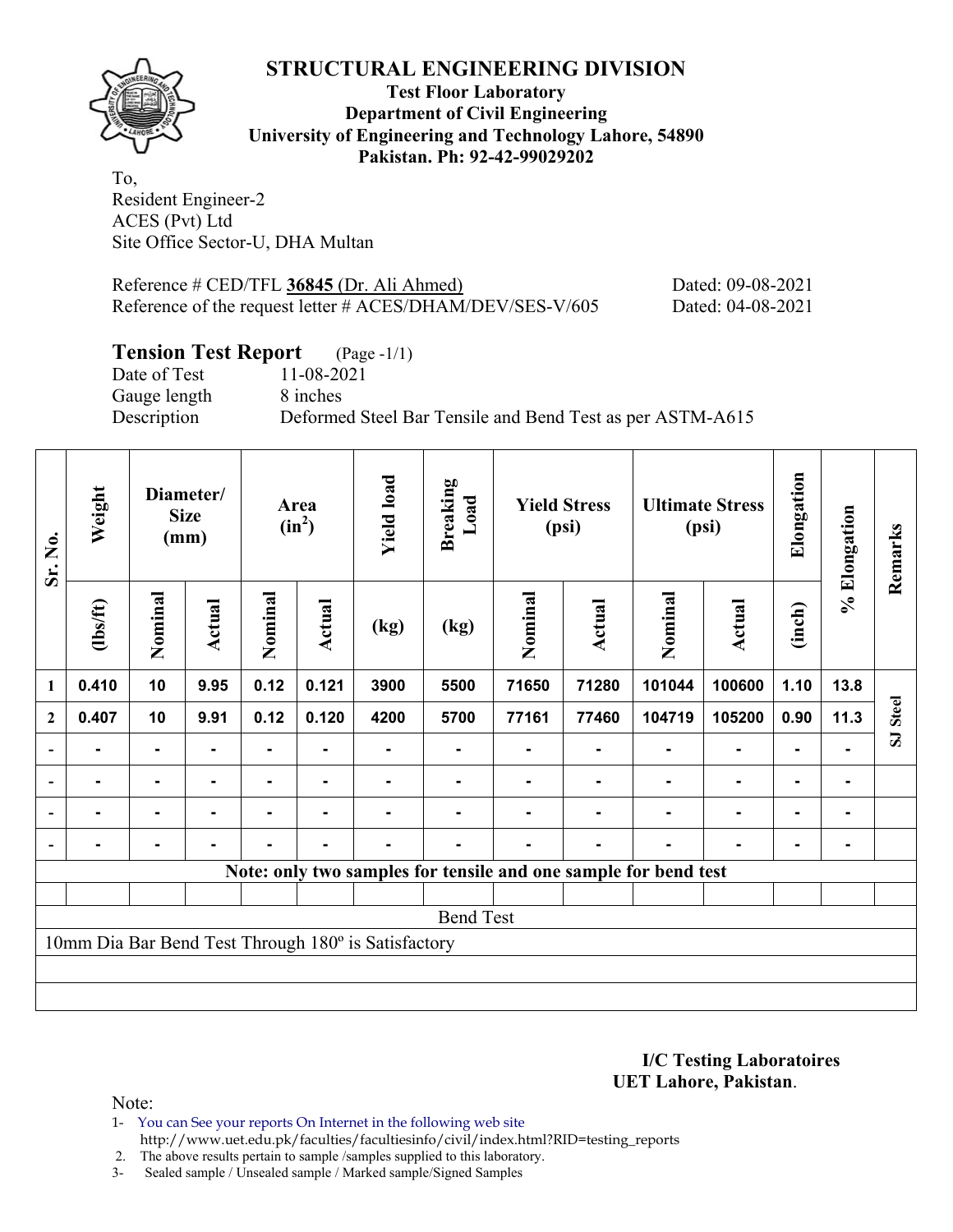

**Test Floor Laboratory Department of Civil Engineering University of Engineering and Technology Lahore, 54890 Pakistan. Ph: 92-42-99029202** 

To, Resident Engineer-2 ACES (Pvt) Ltd Site Office Sector-U, DHA Multan

Reference # CED/TFL **36845** (Dr. Ali Ahmed) Dated: 09-08-2021 Reference of the request letter # ACES/DHAM/DEV/SES-V/605 Dated: 04-08-2021

# **Tension Test Report** (Page -1/1)

Date of Test 11-08-2021 Gauge length 8 inches

Description Deformed Steel Bar Tensile and Bend Test as per ASTM-A615

| Sr. No.                  | Weight         | Diameter/<br><b>Size</b><br>(mm) |                | <b>Yield load</b><br><b>Breaking</b><br>Load<br>Area<br>$(in^2)$ |                | <b>Yield Stress</b><br>(psi)                        |      | <b>Ultimate Stress</b><br>(psi) |                | Elongation                                                      | % Elongation  | Remarks        |                |          |
|--------------------------|----------------|----------------------------------|----------------|------------------------------------------------------------------|----------------|-----------------------------------------------------|------|---------------------------------|----------------|-----------------------------------------------------------------|---------------|----------------|----------------|----------|
|                          | (1bs/ft)       | Nominal                          | Actual         | Nominal                                                          | <b>Actual</b>  | (kg)                                                | (kg) | Nominal                         | <b>Actual</b>  | Nominal                                                         | <b>Actual</b> | (inch)         |                |          |
| 1                        | 0.410          | 10                               | 9.95           | 0.12                                                             | 0.121          | 3900                                                | 5500 | 71650                           | 71280          | 101044                                                          | 100600        | 1.10           | 13.8           |          |
| $\overline{2}$           | 0.407          | 10                               | 9.91           | 0.12                                                             | 0.120          | 4200                                                | 5700 | 77161                           | 77460          | 104719                                                          | 105200        | 0.90           | 11.3           | SJ Steel |
| $\overline{\phantom{a}}$ | Ξ.             | ۰                                |                |                                                                  |                |                                                     |      |                                 |                |                                                                 | ۰             | ۰              |                |          |
| $\blacksquare$           | $\blacksquare$ | ٠.                               |                |                                                                  | $\blacksquare$ |                                                     |      |                                 |                | $\blacksquare$                                                  | ۰             | ۰              | $\blacksquare$ |          |
| $\overline{\phantom{a}}$ | Ξ.             | ۰                                | $\blacksquare$ | ۰                                                                | $\blacksquare$ | Ξ.                                                  |      |                                 | $\blacksquare$ | $\blacksquare$                                                  |               | $\blacksquare$ | ۰              |          |
|                          | $\blacksquare$ | $\blacksquare$                   | $\blacksquare$ | Ξ.                                                               | $\blacksquare$ | $\blacksquare$                                      |      |                                 | $\blacksquare$ |                                                                 | ۰             | $\blacksquare$ | $\blacksquare$ |          |
|                          |                |                                  |                |                                                                  |                |                                                     |      |                                 |                | Note: only two samples for tensile and one sample for bend test |               |                |                |          |
|                          |                |                                  |                |                                                                  |                |                                                     |      |                                 |                |                                                                 |               |                |                |          |
| <b>Bend Test</b>         |                |                                  |                |                                                                  |                |                                                     |      |                                 |                |                                                                 |               |                |                |          |
|                          |                |                                  |                |                                                                  |                | 10mm Dia Bar Bend Test Through 180° is Satisfactory |      |                                 |                |                                                                 |               |                |                |          |
|                          |                |                                  |                |                                                                  |                |                                                     |      |                                 |                |                                                                 |               |                |                |          |
|                          |                |                                  |                |                                                                  |                |                                                     |      |                                 |                |                                                                 |               |                |                |          |

**I/C Testing Laboratoires UET Lahore, Pakistan**.

- 1- You can See your reports On Internet in the following web site http://www.uet.edu.pk/faculties/facultiesinfo/civil/index.html?RID=testing\_reports
- 2. The above results pertain to sample /samples supplied to this laboratory.
- 3- Sealed sample / Unsealed sample / Marked sample/Signed Samples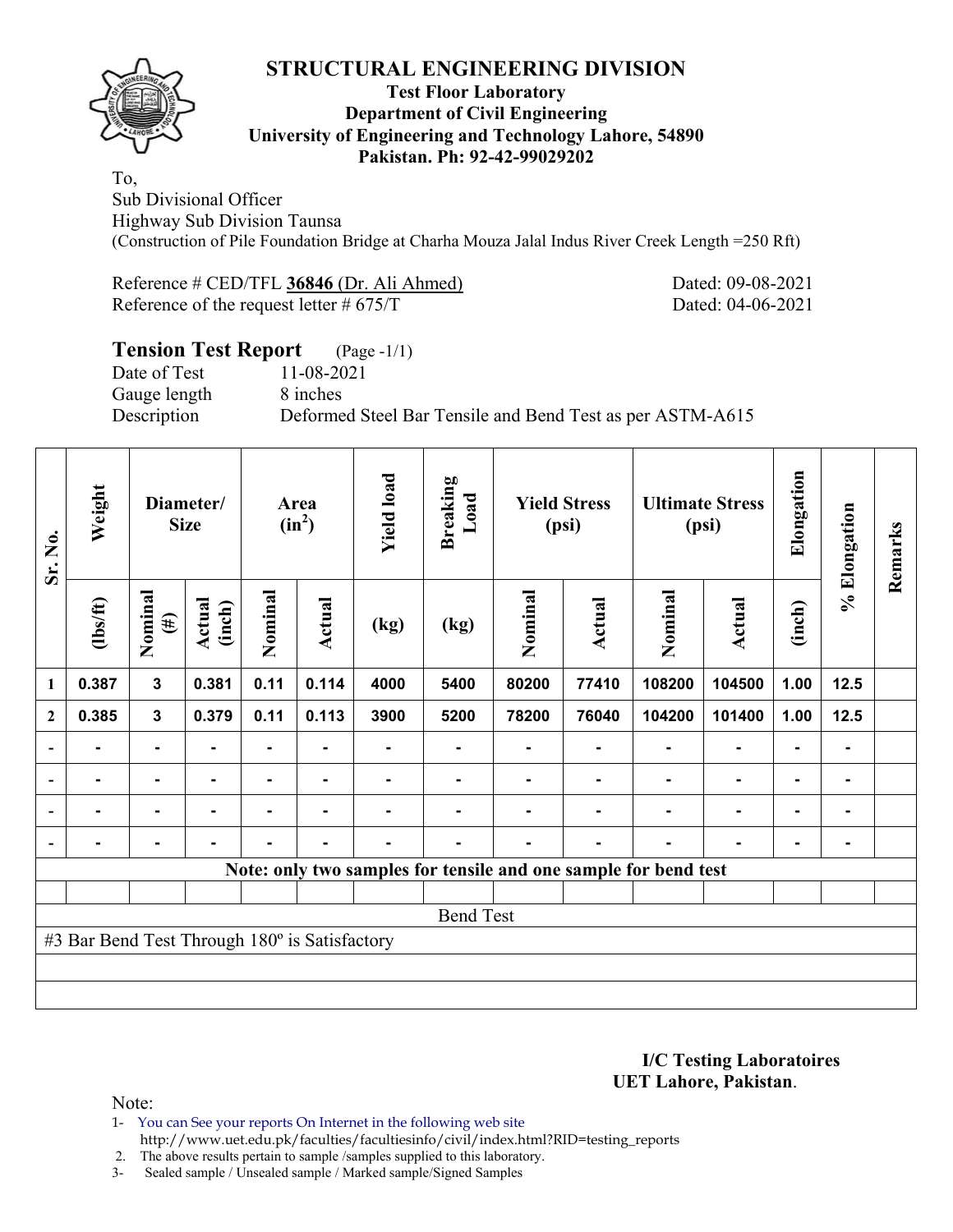

#### **Test Floor Laboratory Department of Civil Engineering University of Engineering and Technology Lahore, 54890 Pakistan. Ph: 92-42-99029202**

To, Sub Divisional Officer Highway Sub Division Taunsa (Construction of Pile Foundation Bridge at Charha Mouza Jalal Indus River Creek Length =250 Rft)

| Reference # CED/TFL 36846 (Dr. Ali Ahmed)  | Dated: 09-08-2021 |
|--------------------------------------------|-------------------|
| Reference of the request letter $\#$ 675/T | Dated: 04-06-2021 |

# **Tension Test Report** (Page -1/1) Date of Test 11-08-2021 Gauge length 8 inches Description Deformed Steel Bar Tensile and Bend Test as per ASTM-A615

| Sr. No.        | Weight                                        |                   | Diameter/<br><b>Size</b> |         | Area<br>$(in^2)$ | <b>Yield load</b> | <b>Breaking</b><br>Load | <b>Yield Stress</b><br>(psi) |        |                                                                 |                | <b>Ultimate Stress</b><br>(psi) |        |  |  | Elongation | % Elongation | Remarks |
|----------------|-----------------------------------------------|-------------------|--------------------------|---------|------------------|-------------------|-------------------------|------------------------------|--------|-----------------------------------------------------------------|----------------|---------------------------------|--------|--|--|------------|--------------|---------|
|                | $\frac{2}{10}$                                | Nominal<br>$(\#)$ | Actual<br>(inch)         | Nominal | Actual           | (kg)              | (kg)                    | Nominal                      | Actual | Nominal                                                         | <b>Actual</b>  | (inch)                          |        |  |  |            |              |         |
| 1              | 0.387                                         | $\mathbf{3}$      | 0.381                    | 0.11    | 0.114            | 4000              | 5400                    | 80200                        | 77410  | 108200                                                          | 104500         | 1.00                            | $12.5$ |  |  |            |              |         |
| $\overline{2}$ | 0.385                                         | $\mathbf{3}$      | 0.379                    | 0.11    | 0.113            | 3900              | 5200                    | 78200                        | 76040  | 104200                                                          | 101400         | 1.00                            | $12.5$ |  |  |            |              |         |
|                |                                               | $\blacksquare$    |                          | ۰       |                  |                   |                         |                              |        |                                                                 | $\blacksquare$ | $\blacksquare$                  |        |  |  |            |              |         |
|                |                                               |                   |                          |         |                  |                   |                         |                              |        |                                                                 |                |                                 |        |  |  |            |              |         |
|                |                                               | $\blacksquare$    |                          | ۰       | $\blacksquare$   |                   |                         |                              |        |                                                                 | ٠              | $\blacksquare$                  |        |  |  |            |              |         |
|                |                                               |                   |                          |         | -                |                   |                         |                              |        |                                                                 | $\blacksquare$ | $\blacksquare$                  |        |  |  |            |              |         |
|                |                                               |                   |                          |         |                  |                   |                         |                              |        | Note: only two samples for tensile and one sample for bend test |                |                                 |        |  |  |            |              |         |
|                |                                               |                   |                          |         |                  |                   |                         |                              |        |                                                                 |                |                                 |        |  |  |            |              |         |
|                |                                               |                   |                          |         |                  |                   | <b>Bend Test</b>        |                              |        |                                                                 |                |                                 |        |  |  |            |              |         |
|                | #3 Bar Bend Test Through 180° is Satisfactory |                   |                          |         |                  |                   |                         |                              |        |                                                                 |                |                                 |        |  |  |            |              |         |
|                |                                               |                   |                          |         |                  |                   |                         |                              |        |                                                                 |                |                                 |        |  |  |            |              |         |
|                |                                               |                   |                          |         |                  |                   |                         |                              |        |                                                                 |                |                                 |        |  |  |            |              |         |

**I/C Testing Laboratoires UET Lahore, Pakistan**.

Note:

1- You can See your reports On Internet in the following web site http://www.uet.edu.pk/faculties/facultiesinfo/civil/index.html?RID=testing\_reports

2. The above results pertain to sample /samples supplied to this laboratory.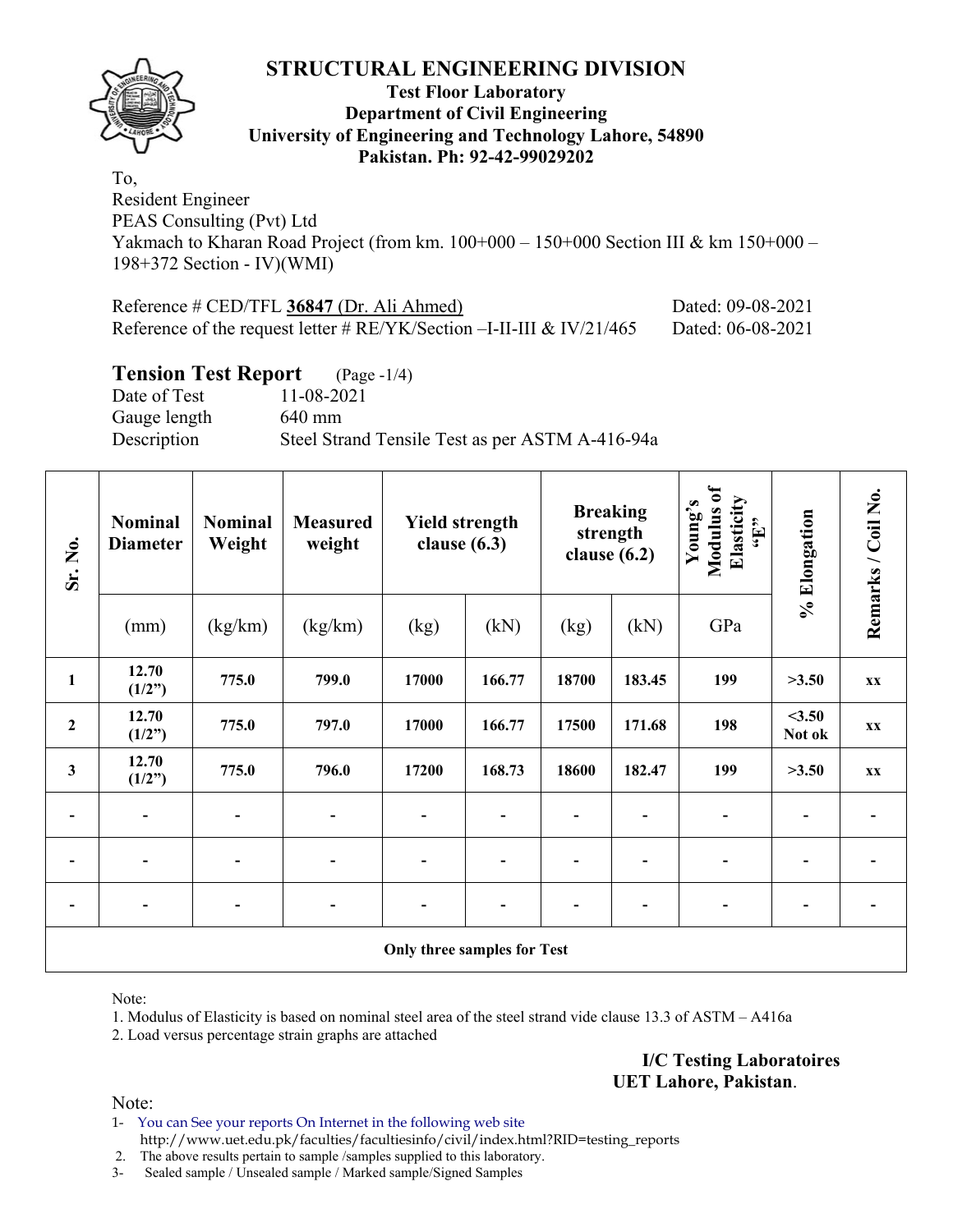

#### **Test Floor Laboratory Department of Civil Engineering University of Engineering and Technology Lahore, 54890 Pakistan. Ph: 92-42-99029202**

To, Resident Engineer PEAS Consulting (Pvt) Ltd Yakmach to Kharan Road Project (from km. 100+000 – 150+000 Section III & km 150+000 – 198+372 Section - IV)(WMI)

| Reference $\#$ CED/TFL 36847 (Dr. Ali Ahmed)                             | Dated: 09-08-2021 |
|--------------------------------------------------------------------------|-------------------|
| Reference of the request letter # $RE/YK/Section -I-II-III \& IV/21/465$ | Dated: 06-08-2021 |

### **Tension Test Report** (Page -1/4)

Date of Test 11-08-2021 Gauge length 640 mm Description Steel Strand Tensile Test as per ASTM A-416-94a

| Sr. No.                 | <b>Nominal</b><br><b>Diameter</b> | <b>Nominal</b><br>Weight | <b>Measured</b><br>weight | <b>Yield strength</b><br>clause $(6.3)$ |        | <b>Breaking</b><br>strength<br>clause $(6.2)$ |        |                              |                 | Modulus of<br>Elasticity<br>Young's<br>$\epsilon_{\text{H}}$ , |  | Remarks / Coil No. |
|-------------------------|-----------------------------------|--------------------------|---------------------------|-----------------------------------------|--------|-----------------------------------------------|--------|------------------------------|-----------------|----------------------------------------------------------------|--|--------------------|
|                         | (mm)                              | (kg/km)                  | (kg/km)                   | (kg)                                    | (kN)   | (kg)                                          | (kN)   | GPa                          | % Elongation    |                                                                |  |                    |
| $\mathbf{1}$            | 12.70<br>(1/2")                   | 775.0                    | 799.0                     | 17000                                   | 166.77 | 18700                                         | 183.45 | 199                          | >3.50           | <b>XX</b>                                                      |  |                    |
| $\mathbf 2$             | 12.70<br>(1/2")                   | 775.0                    | 797.0                     | 17000                                   | 166.77 | 17500                                         | 171.68 | 198                          | <3.50<br>Not ok | XX                                                             |  |                    |
| $\overline{\mathbf{3}}$ | 12.70<br>(1/2")                   | 775.0                    | 796.0                     | 17200                                   | 168.73 | 18600                                         | 182.47 | 199                          | >3.50           | <b>XX</b>                                                      |  |                    |
|                         |                                   |                          |                           |                                         |        |                                               |        |                              |                 |                                                                |  |                    |
|                         |                                   | $\overline{\phantom{0}}$ | $\blacksquare$            | $\blacksquare$                          |        |                                               |        | -                            |                 |                                                                |  |                    |
|                         | $\overline{\phantom{a}}$          | $\blacksquare$           | $\blacksquare$            |                                         |        |                                               |        | $\qquad \qquad \blacksquare$ |                 |                                                                |  |                    |
|                         | Only three samples for Test       |                          |                           |                                         |        |                                               |        |                              |                 |                                                                |  |                    |

Note:

1. Modulus of Elasticity is based on nominal steel area of the steel strand vide clause 13.3 of ASTM – A416a

2. Load versus percentage strain graphs are attached

**I/C Testing Laboratoires UET Lahore, Pakistan**.

Note:

1- You can See your reports On Internet in the following web site http://www.uet.edu.pk/faculties/facultiesinfo/civil/index.html?RID=testing\_reports

2. The above results pertain to sample /samples supplied to this laboratory.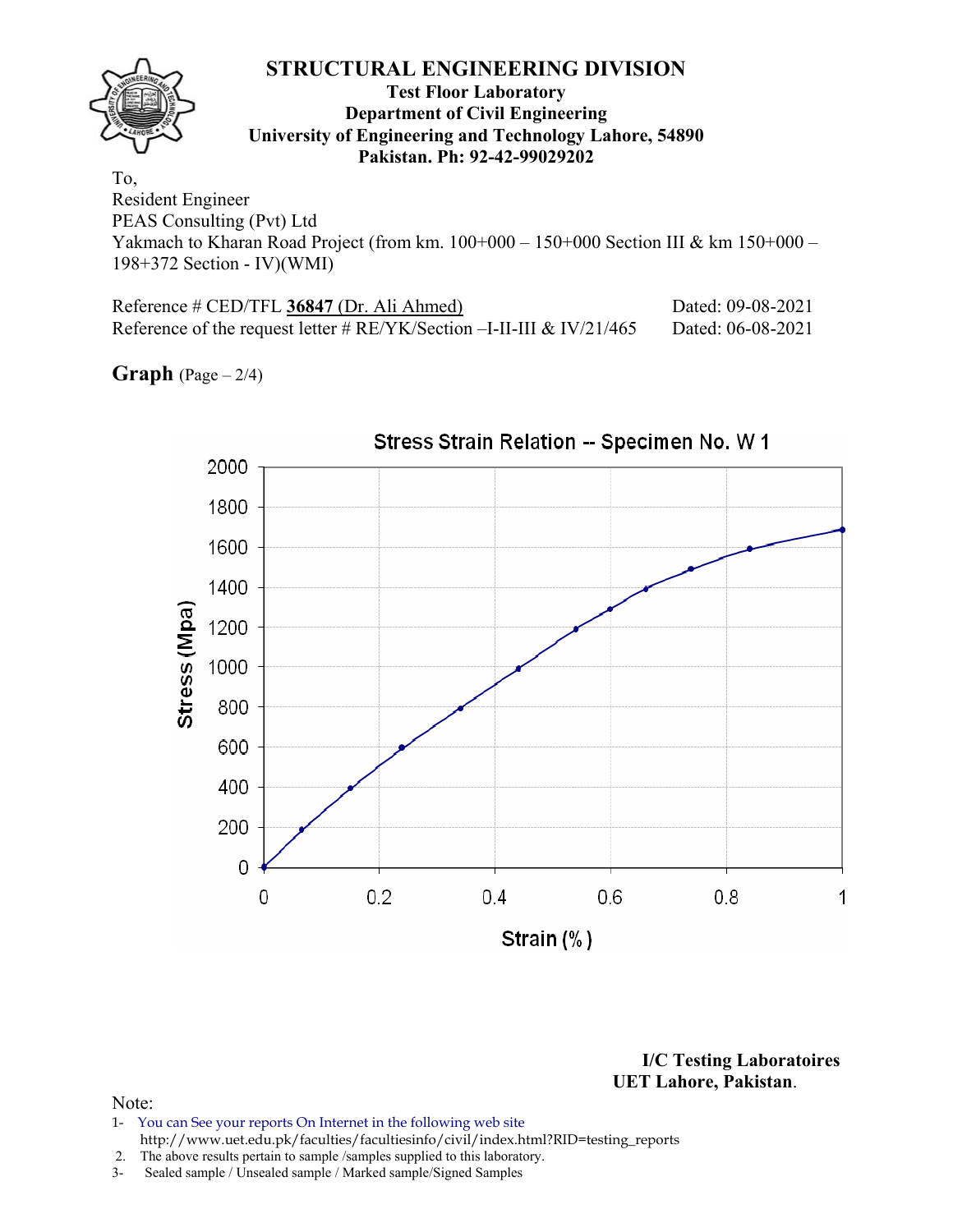### **STRUCTURAL ENGINEERING DIVISION Test Floor Laboratory Department of Civil Engineering University of Engineering and Technology Lahore, 54890 Pakistan. Ph: 92-42-99029202**  To, Resident Engineer

PEAS Consulting (Pvt) Ltd Yakmach to Kharan Road Project (from km. 100+000 – 150+000 Section III & km 150+000 – 198+372 Section - IV)(WMI)

| Reference # CED/TFL 36847 (Dr. Ali Ahmed)                                 | Dated: 09-08-2021 |
|---------------------------------------------------------------------------|-------------------|
| Reference of the request letter # $RE/YK/Section - I-II-III \& IV/21/465$ | Dated: 06-08-2021 |

**Graph**  $(Page - 2/4)$ 



**I/C Testing Laboratoires UET Lahore, Pakistan**.

- 1- You can See your reports On Internet in the following web site http://www.uet.edu.pk/faculties/facultiesinfo/civil/index.html?RID=testing\_reports
- 2. The above results pertain to sample /samples supplied to this laboratory.
- 3- Sealed sample / Unsealed sample / Marked sample/Signed Samples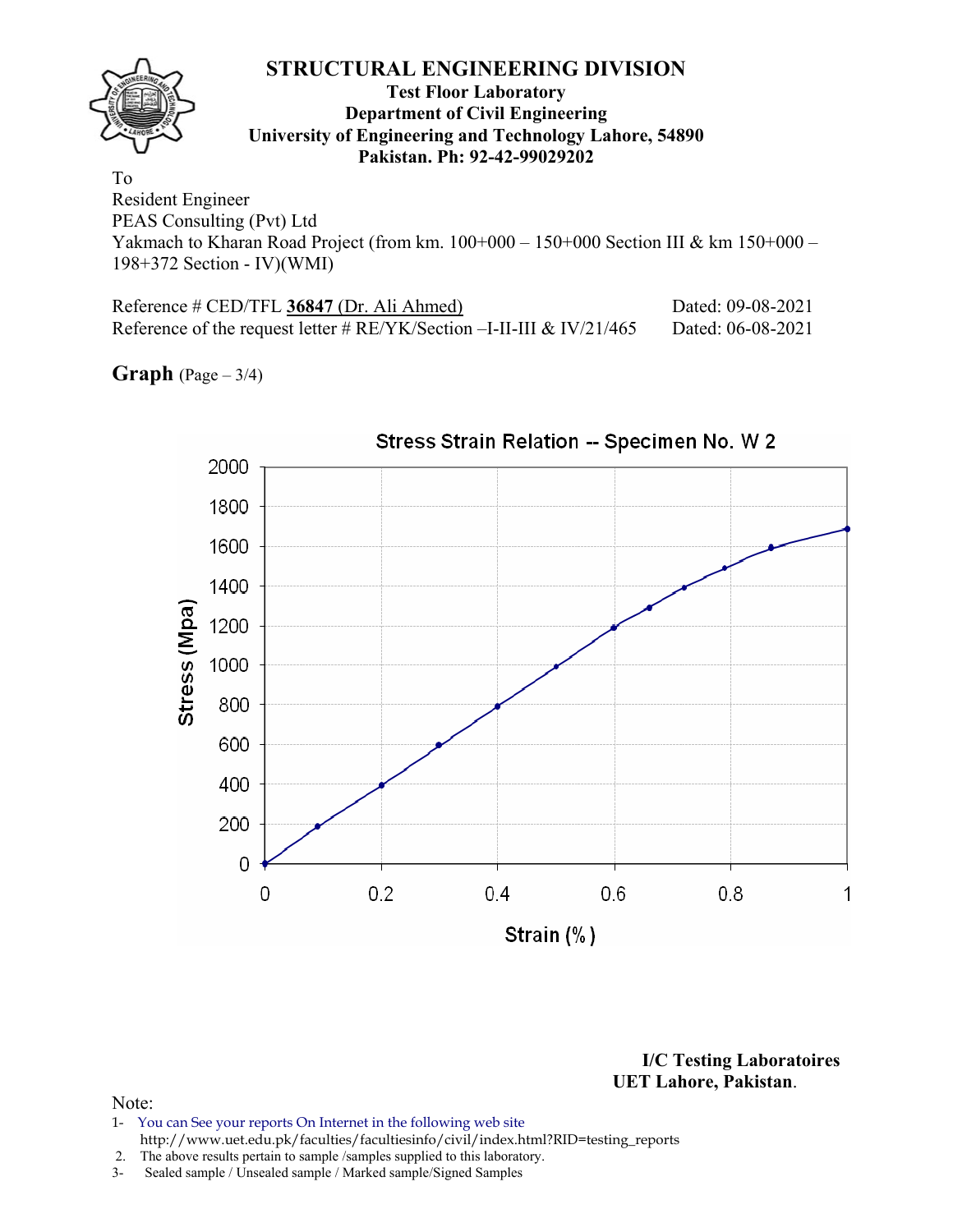# **STRUCTURAL ENGINEERING DIVISION Test Floor Laboratory Department of Civil Engineering University of Engineering and Technology Lahore, 54890 Pakistan. Ph: 92-42-99029202**  To Resident Engineer

PEAS Consulting (Pvt) Ltd Yakmach to Kharan Road Project (from km. 100+000 – 150+000 Section III & km 150+000 – 198+372 Section - IV)(WMI)

| Reference # CED/TFL 36847 (Dr. Ali Ahmed)                                 | Dated: 09-08-2021 |
|---------------------------------------------------------------------------|-------------------|
| Reference of the request letter # $RE/YK/Section - I-II-III \& IV/21/465$ | Dated: 06-08-2021 |

**Graph** (Page – 3/4)



**I/C Testing Laboratoires UET Lahore, Pakistan**.

- 1- You can See your reports On Internet in the following web site http://www.uet.edu.pk/faculties/facultiesinfo/civil/index.html?RID=testing\_reports
- 2. The above results pertain to sample /samples supplied to this laboratory.
- 3- Sealed sample / Unsealed sample / Marked sample/Signed Samples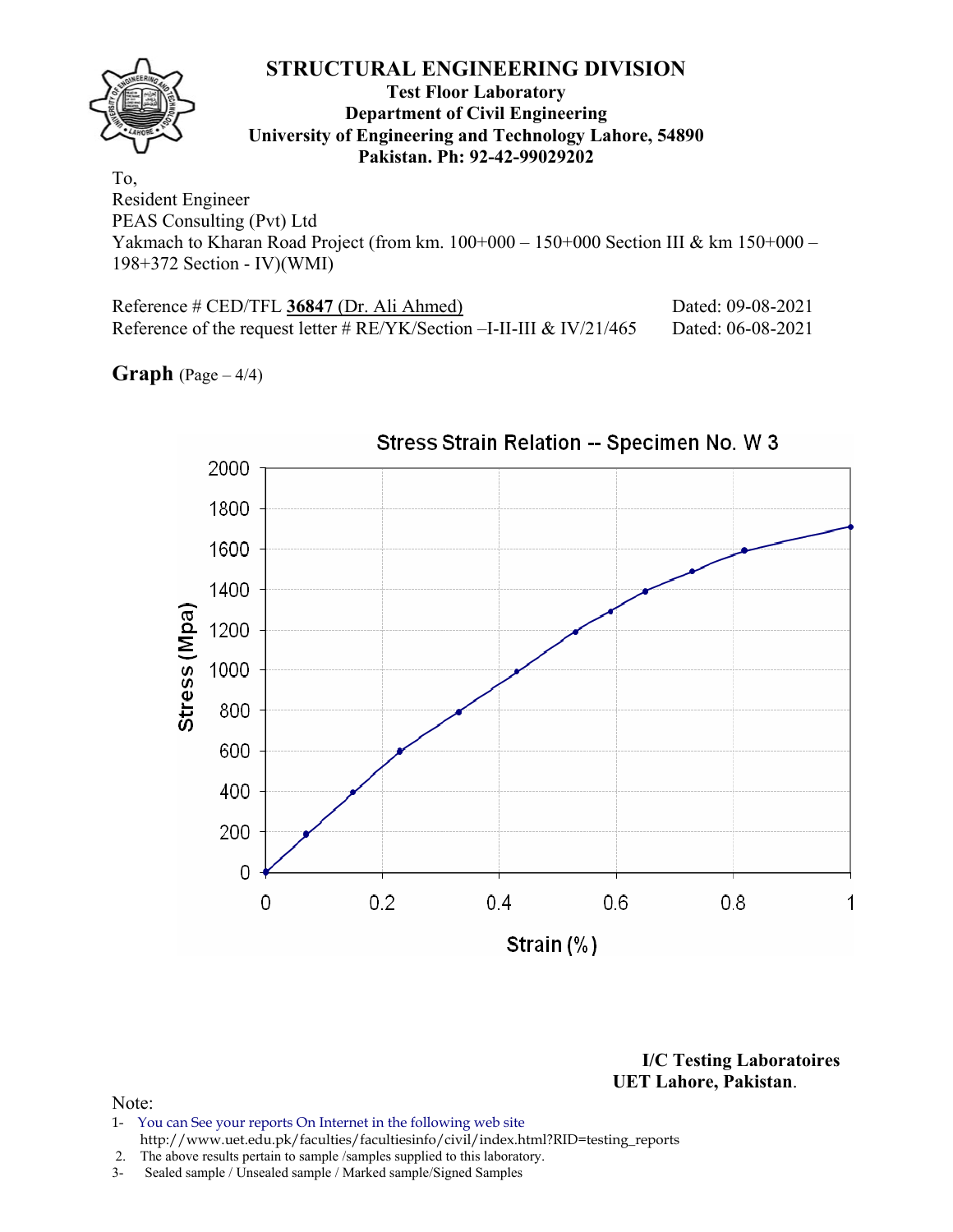# **STRUCTURAL ENGINEERING DIVISION Test Floor Laboratory Department of Civil Engineering University of Engineering and Technology Lahore, 54890 Pakistan. Ph: 92-42-99029202**  To, Resident Engineer

PEAS Consulting (Pvt) Ltd Yakmach to Kharan Road Project (from km. 100+000 – 150+000 Section III & km 150+000 – 198+372 Section - IV)(WMI)

| Reference # CED/TFL 36847 (Dr. Ali Ahmed)                                 | Dated: 09-08-2021 |
|---------------------------------------------------------------------------|-------------------|
| Reference of the request letter # $RE/YK/Section - I-II-III \& IV/21/465$ | Dated: 06-08-2021 |

**Graph**  $(Page - 4/4)$ 



**I/C Testing Laboratoires UET Lahore, Pakistan**.

- 1- You can See your reports On Internet in the following web site http://www.uet.edu.pk/faculties/facultiesinfo/civil/index.html?RID=testing\_reports
- 2. The above results pertain to sample /samples supplied to this laboratory.
- 3- Sealed sample / Unsealed sample / Marked sample/Signed Samples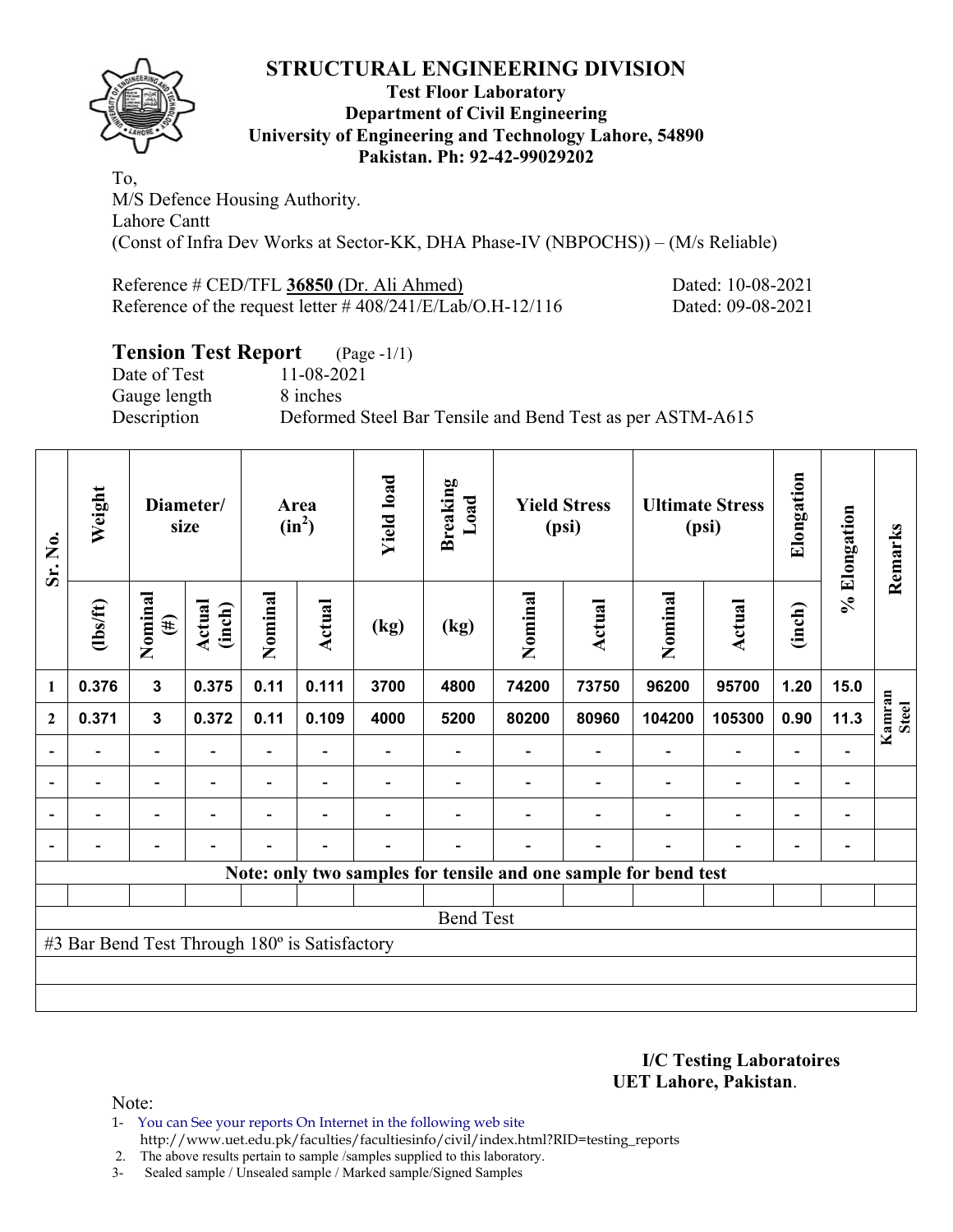

### **Test Floor Laboratory Department of Civil Engineering University of Engineering and Technology Lahore, 54890 Pakistan. Ph: 92-42-99029202**

To, M/S Defence Housing Authority. Lahore Cantt (Const of Infra Dev Works at Sector-KK, DHA Phase-IV (NBPOCHS)) – (M/s Reliable)

| Reference # CED/TFL 36850 (Dr. Ali Ahmed)                     | Dated: 10-08-2021 |
|---------------------------------------------------------------|-------------------|
| Reference of the request letter $\# 408/241/E/Lab/O.H-12/116$ | Dated: 09-08-2021 |

# **Tension Test Report** (Page -1/1)

Date of Test 11-08-2021 Gauge length 8 inches Description Deformed Steel Bar Tensile and Bend Test as per ASTM-A615

| Sr. No.      | Weight                                        |                          | Diameter/<br>size |                | Area<br>$(in^2)$         | <b>Yield load</b> | <b>Breaking</b><br>Load                                         |         | <b>Yield Stress</b><br>(psi) |         | <b>Ultimate Stress</b><br>(psi) | Elongation               | % Elongation                 | Remarks                |
|--------------|-----------------------------------------------|--------------------------|-------------------|----------------|--------------------------|-------------------|-----------------------------------------------------------------|---------|------------------------------|---------|---------------------------------|--------------------------|------------------------------|------------------------|
|              | (1bs/ft)                                      | Nominal<br>$(\#)$        | Actual<br>(inch)  | Nominal        | <b>Actual</b>            | (kg)              | (kg)                                                            | Nominal | Actual                       | Nominal | Actual                          | (inch)                   |                              |                        |
| 1            | 0.376                                         | $\mathbf{3}$             | 0.375             | 0.11           | 0.111                    | 3700              | 4800                                                            | 74200   | 73750                        | 96200   | 95700                           | 1.20                     | 15.0                         |                        |
| $\mathbf{2}$ | 0.371                                         | $\mathbf{3}$             | 0.372             | 0.11           | 0.109                    | 4000              | 5200                                                            | 80200   | 80960                        | 104200  | 105300                          | 0.90                     | 11.3                         | Kamran<br><b>Steel</b> |
|              |                                               | $\overline{\phantom{0}}$ |                   | Ξ.             |                          |                   |                                                                 |         |                              |         | $\overline{\phantom{0}}$        |                          |                              |                        |
|              |                                               | $\overline{\phantom{0}}$ |                   | $\blacksquare$ | $\blacksquare$           |                   |                                                                 |         |                              |         |                                 | $\blacksquare$           | $\qquad \qquad \blacksquare$ |                        |
|              |                                               | $\overline{\phantom{0}}$ |                   |                | $\overline{\phantom{a}}$ |                   |                                                                 |         |                              |         |                                 | $\overline{\phantom{0}}$ | $\qquad \qquad \blacksquare$ |                        |
|              |                                               | $\overline{\phantom{0}}$ |                   |                | $\overline{\phantom{0}}$ |                   |                                                                 |         |                              |         |                                 | $\overline{\phantom{0}}$ | $\overline{\phantom{a}}$     |                        |
|              |                                               |                          |                   |                |                          |                   | Note: only two samples for tensile and one sample for bend test |         |                              |         |                                 |                          |                              |                        |
|              |                                               |                          |                   |                |                          |                   |                                                                 |         |                              |         |                                 |                          |                              |                        |
|              |                                               |                          |                   |                |                          |                   | <b>Bend Test</b>                                                |         |                              |         |                                 |                          |                              |                        |
|              | #3 Bar Bend Test Through 180° is Satisfactory |                          |                   |                |                          |                   |                                                                 |         |                              |         |                                 |                          |                              |                        |
|              |                                               |                          |                   |                |                          |                   |                                                                 |         |                              |         |                                 |                          |                              |                        |
|              |                                               |                          |                   |                |                          |                   |                                                                 |         |                              |         |                                 |                          |                              |                        |

**I/C Testing Laboratoires UET Lahore, Pakistan**.

- 1- You can See your reports On Internet in the following web site http://www.uet.edu.pk/faculties/facultiesinfo/civil/index.html?RID=testing\_reports
- 2. The above results pertain to sample /samples supplied to this laboratory.
- 3- Sealed sample / Unsealed sample / Marked sample/Signed Samples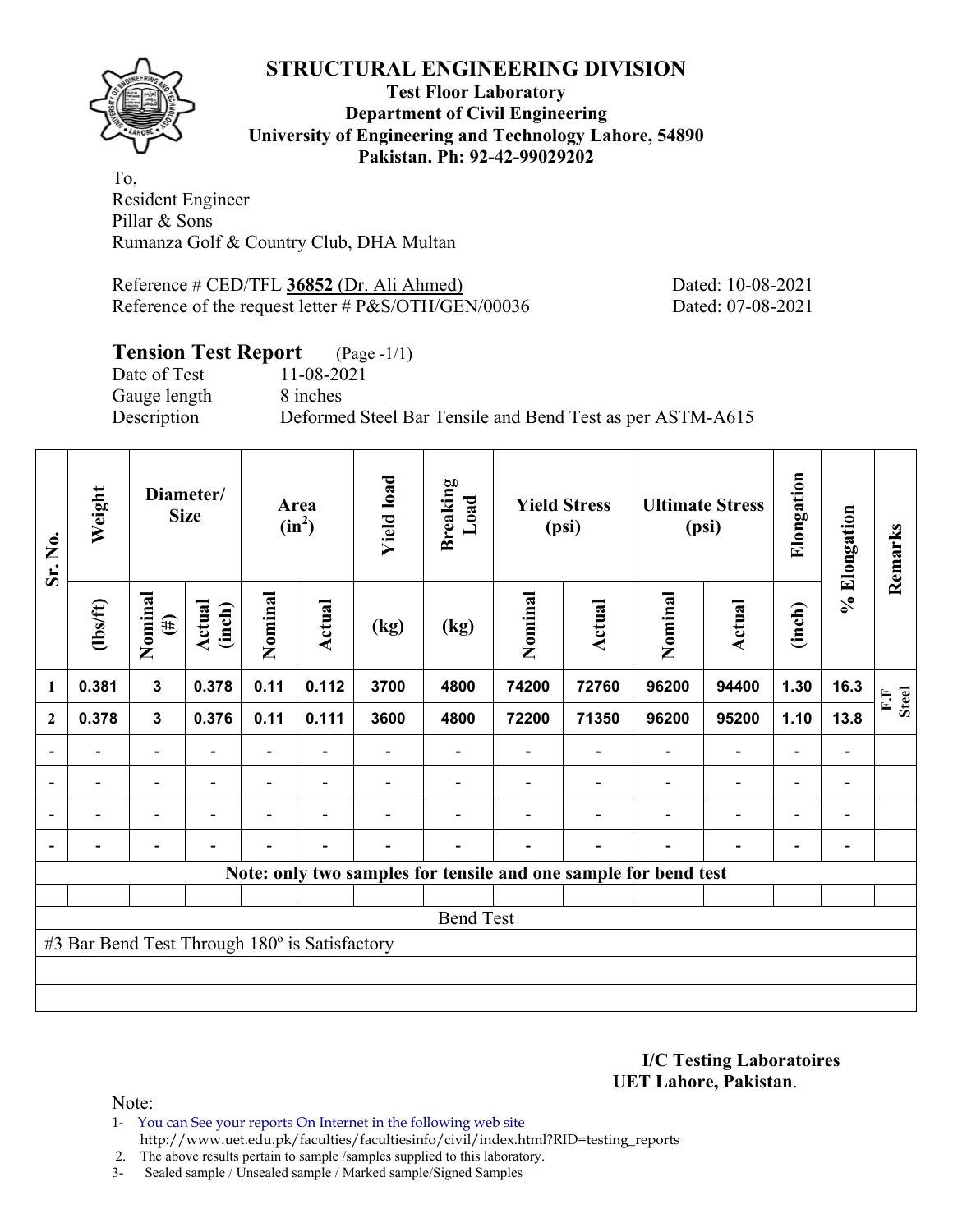

### **Test Floor Laboratory Department of Civil Engineering University of Engineering and Technology Lahore, 54890 Pakistan. Ph: 92-42-99029202**

To, Resident Engineer Pillar & Sons Rumanza Golf & Country Club, DHA Multan

Reference # CED/TFL **36852** (Dr. Ali Ahmed) Dated: 10-08-2021 Reference of the request letter # P&S/OTH/GEN/00036 Dated: 07-08-2021

## **Tension Test Report** (Page -1/1)

Date of Test 11-08-2021 Gauge length 8 inches

Description Deformed Steel Bar Tensile and Bend Test as per ASTM-A615

| Sr. No.        | Weight                                        |                          | Diameter/<br><b>Size</b> |                | Area<br>$(in^2)$         | <b>Yield load</b> | <b>Breaking</b><br>Load |         | <b>Yield Stress</b><br>(psi)                                    |                          | <b>Ultimate Stress</b><br>(psi) | Elongation               | % Elongation                 | Remarks            |
|----------------|-----------------------------------------------|--------------------------|--------------------------|----------------|--------------------------|-------------------|-------------------------|---------|-----------------------------------------------------------------|--------------------------|---------------------------------|--------------------------|------------------------------|--------------------|
|                | (1bs/ft)                                      | Nominal<br>$(\#)$        | Actual<br>(inch)         | Nominal        | Actual                   | (kg)              | (kg)                    | Nominal | <b>Actual</b>                                                   | Nominal                  | <b>Actual</b>                   | (inch)                   |                              |                    |
| 1              | 0.381                                         | 3                        | 0.378                    | 0.11           | 0.112                    | 3700              | 4800                    | 74200   | 72760                                                           | 96200                    | 94400                           | 1.30                     | 16.3                         | <b>Steel</b><br>F. |
| $\overline{2}$ | 0.378                                         | $\mathbf 3$              | 0.376                    | 0.11           | 0.111                    | 3600              | 4800                    | 72200   | 71350                                                           | 96200                    | 95200                           | 1.10                     | 13.8                         |                    |
|                |                                               | $\overline{\phantom{0}}$ |                          | -              |                          |                   |                         |         |                                                                 | $\overline{\phantom{a}}$ | $\qquad \qquad \blacksquare$    | $\overline{a}$           |                              |                    |
| $\blacksquare$ |                                               | -                        |                          | -              | $\overline{\phantom{a}}$ |                   |                         |         | $\overline{\phantom{0}}$                                        |                          | $\qquad \qquad \blacksquare$    | $\overline{a}$           | $\qquad \qquad \blacksquare$ |                    |
| $\blacksquare$ | $\blacksquare$                                | $\overline{\phantom{0}}$ | $\overline{\phantom{0}}$ | $\blacksquare$ | $\overline{\phantom{a}}$ |                   |                         |         | $\blacksquare$                                                  | $\blacksquare$           | $\overline{a}$                  | $\blacksquare$           | $\overline{\phantom{0}}$     |                    |
| ۰              |                                               | $\overline{\phantom{0}}$ |                          | $\blacksquare$ | $\blacksquare$           |                   |                         |         | $\blacksquare$                                                  | $\overline{\phantom{0}}$ | $\overline{\phantom{0}}$        | $\overline{\phantom{a}}$ | $\blacksquare$               |                    |
|                |                                               |                          |                          |                |                          |                   |                         |         | Note: only two samples for tensile and one sample for bend test |                          |                                 |                          |                              |                    |
|                |                                               |                          |                          |                |                          |                   |                         |         |                                                                 |                          |                                 |                          |                              |                    |
|                |                                               |                          |                          |                |                          |                   | <b>Bend Test</b>        |         |                                                                 |                          |                                 |                          |                              |                    |
|                | #3 Bar Bend Test Through 180° is Satisfactory |                          |                          |                |                          |                   |                         |         |                                                                 |                          |                                 |                          |                              |                    |
|                |                                               |                          |                          |                |                          |                   |                         |         |                                                                 |                          |                                 |                          |                              |                    |
|                |                                               |                          |                          |                |                          |                   |                         |         |                                                                 |                          |                                 |                          |                              |                    |

**I/C Testing Laboratoires UET Lahore, Pakistan**.

Note:

1- You can See your reports On Internet in the following web site http://www.uet.edu.pk/faculties/facultiesinfo/civil/index.html?RID=testing\_reports

2. The above results pertain to sample /samples supplied to this laboratory.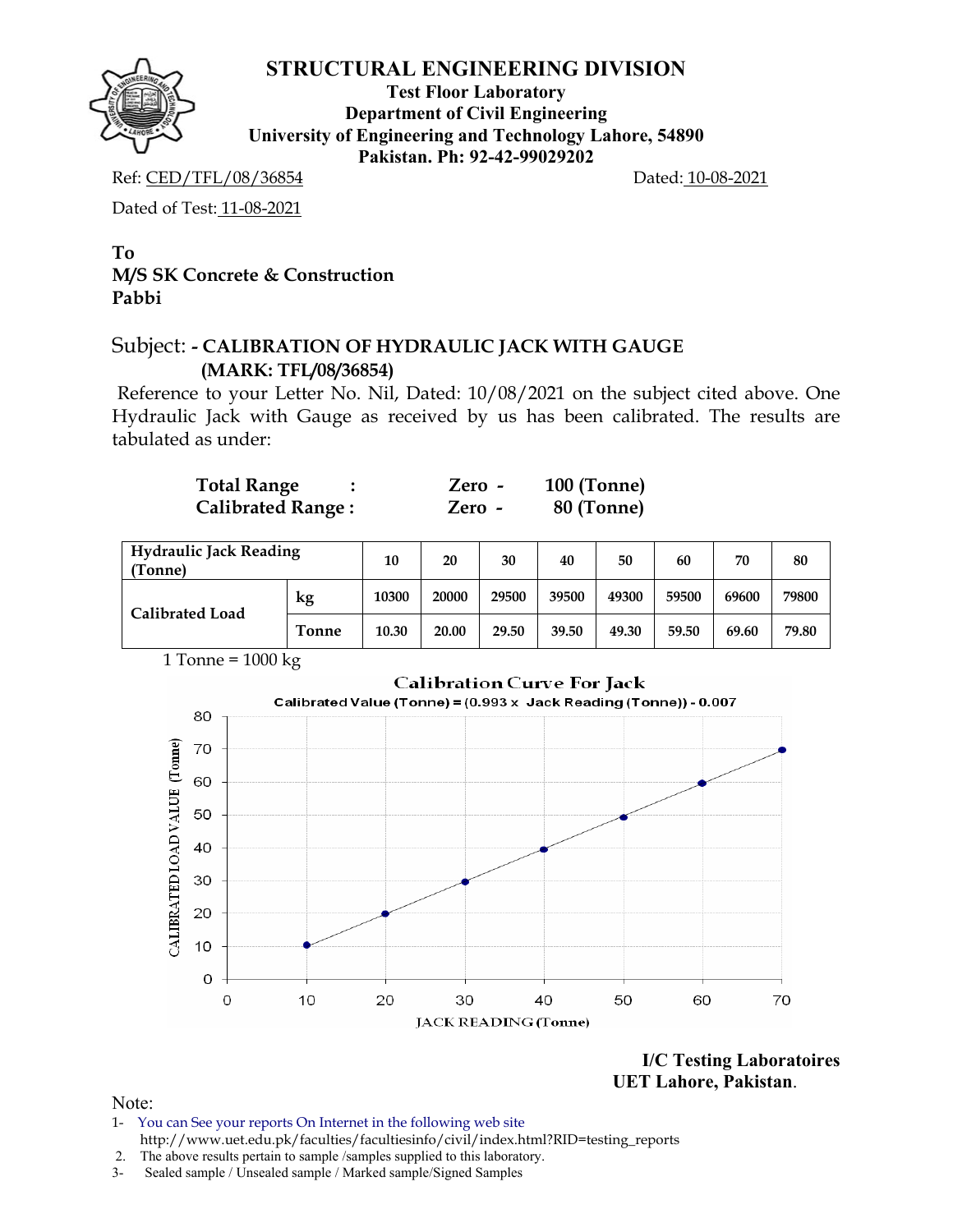

**Test Floor Laboratory Department of Civil Engineering University of Engineering and Technology Lahore, 54890 Pakistan. Ph: 92-42-99029202** 

Ref: CED/TFL/08/36854 Dated: 10-08-2021

Dated of Test: 11-08-2021

### **To M/S SK Concrete & Construction Pabbi**

# Subject: **- CALIBRATION OF HYDRAULIC JACK WITH GAUGE (MARK: TFL/08/36854)**

Reference to your Letter No. Nil, Dated: 10/08/2021 on the subject cited above. One Hydraulic Jack with Gauge as received by us has been calibrated. The results are tabulated as under:

| <b>Total Range</b>       | Zero - | $100$ (Tonne) |
|--------------------------|--------|---------------|
| <b>Calibrated Range:</b> | Zero - | 80 (Tonne)    |

| <b>Hydraulic Jack Reading</b><br>(Tonne) |              | 10    | 20    | 30    | 40    | 50    | 60    | 70    | 80    |
|------------------------------------------|--------------|-------|-------|-------|-------|-------|-------|-------|-------|
| <b>Calibrated Load</b>                   | kg           | 10300 | 20000 | 29500 | 39500 | 49300 | 59500 | 69600 | 79800 |
|                                          | <b>Tonne</b> | 10.30 | 20.00 | 29.50 | 39.50 | 49.30 | 59.50 | 69.60 | 79.80 |



### **Calibration Curve For Jack**



**I/C Testing Laboratoires UET Lahore, Pakistan**.

- 1- You can See your reports On Internet in the following web site http://www.uet.edu.pk/faculties/facultiesinfo/civil/index.html?RID=testing\_reports
- 2. The above results pertain to sample /samples supplied to this laboratory.
- 3- Sealed sample / Unsealed sample / Marked sample/Signed Samples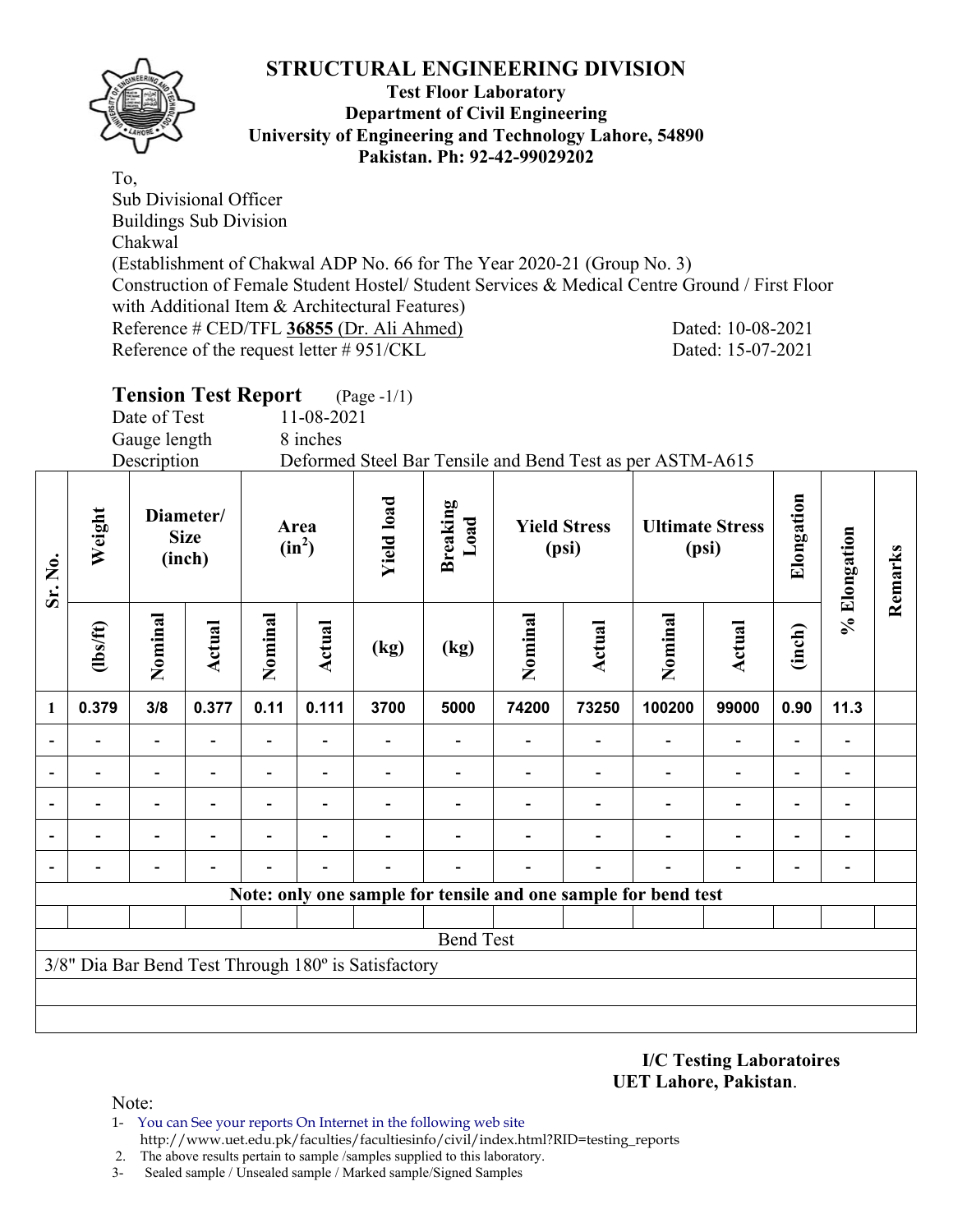

**Sr. No.** 

#### **Test Floor Laboratory Department of Civil Engineering University of Engineering and Technology Lahore, 54890 Pakistan. Ph: 92-42-99029202**

To, Sub Divisional Officer Buildings Sub Division Chakwal (Establishment of Chakwal ADP No. 66 for The Year 2020-21 (Group No. 3) Construction of Female Student Hostel/ Student Services & Medical Centre Ground / First Floor with Additional Item & Architectural Features) Reference # CED/TFL **36855** (Dr. Ali Ahmed) Dated: 10-08-2021 Reference of the request letter # 951/CKL Dated: 15-07-2021

|                     |                |                                    | <b>Tension Test Report</b> |                  |            | $(\text{Page - }1/1)$ |                                                           |                              |        |                                 |        |            |                         |         |
|---------------------|----------------|------------------------------------|----------------------------|------------------|------------|-----------------------|-----------------------------------------------------------|------------------------------|--------|---------------------------------|--------|------------|-------------------------|---------|
|                     |                | Date of Test                       |                            |                  | 11-08-2021 |                       |                                                           |                              |        |                                 |        |            |                         |         |
|                     |                | Gauge length                       |                            |                  | 8 inches   |                       |                                                           |                              |        |                                 |        |            |                         |         |
|                     |                | Description                        |                            |                  |            |                       | Deformed Steel Bar Tensile and Bend Test as per ASTM-A615 |                              |        |                                 |        |            |                         |         |
| $\mathbf{S}$ r. No. | Weight         | Diameter/<br><b>Size</b><br>(inch) |                            | Area<br>$(in^2)$ |            | <b>Yield load</b>     | <b>Breaking</b><br>Load                                   | <b>Yield Stress</b><br>(psi) |        | <b>Ultimate Stress</b><br>(psi) |        | Elongation | Elongation              | Remarks |
|                     | $\frac{2}{10}$ | Nominal                            | Actual                     | Nominal          | Actual     | (kg)                  | (kg)                                                      | Nominal                      | Actual | Nominal                         | Actual | (inch)     | $\mathcal{S}_{\bullet}$ |         |
|                     | 0.379          | 3/8                                | 0.377                      | 0.11             | 0.111      | 3700                  | 5000                                                      | 74200                        | 73250  | 100200                          | 99000  | 0.90       | 11.3                    |         |
|                     |                |                                    |                            |                  |            |                       |                                                           |                              |        |                                 |        |            |                         |         |
|                     |                |                                    |                            |                  |            |                       |                                                           |                              |        |                                 |        |            |                         |         |

**- - - - - - - - - - - - - -** 

**- - - - - - - - - - - - - -** 

**- - - - - - - - - - - - - -** 

**Note: only one sample for tensile and one sample for bend test**

Bend Test

**I/C Testing Laboratoires UET Lahore, Pakistan**.

Note:

- 1- You can See your reports On Internet in the following web site http://www.uet.edu.pk/faculties/facultiesinfo/civil/index.html?RID=testing\_reports
- 2. The above results pertain to sample /samples supplied to this laboratory.
- 3- Sealed sample / Unsealed sample / Marked sample/Signed Samples

3/8" Dia Bar Bend Test Through 180º is Satisfactory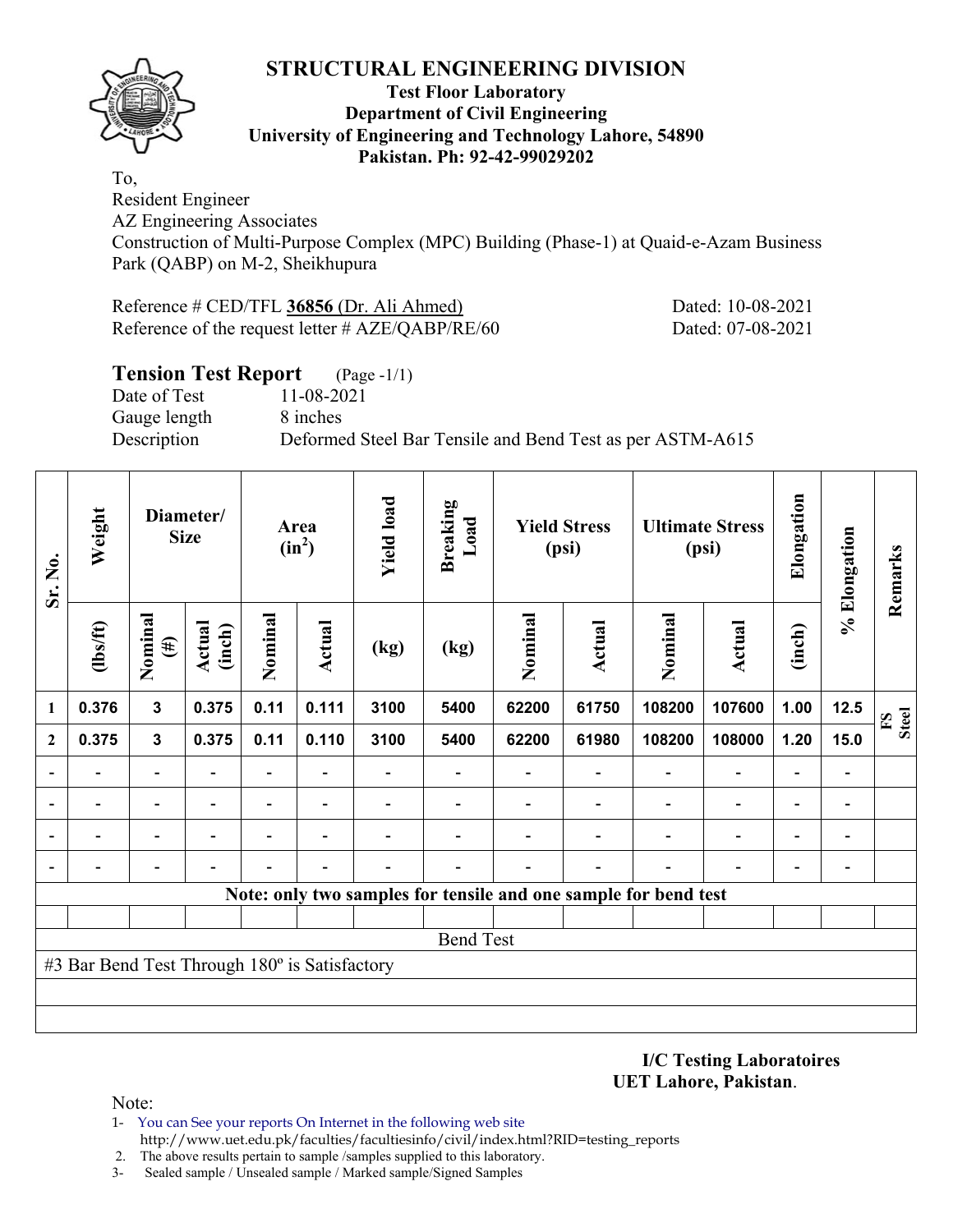

#### **Test Floor Laboratory Department of Civil Engineering University of Engineering and Technology Lahore, 54890 Pakistan. Ph: 92-42-99029202**

To, Resident Engineer

AZ Engineering Associates

Construction of Multi-Purpose Complex (MPC) Building (Phase-1) at Quaid-e-Azam Business Park (QABP) on M-2, Sheikhupura

Reference # CED/TFL **36856** (Dr. Ali Ahmed) Dated: 10-08-2021 Reference of the request letter # AZE/QABP/RE/60 Dated: 07-08-2021

# **Tension Test Report** (Page -1/1) Date of Test 11-08-2021 Gauge length 8 inches Description Deformed Steel Bar Tensile and Bend Test as per ASTM-A615

| Sr. No.      | Weight                                        |                   | Diameter/<br><b>Size</b> |                          | Area<br>$(in^2)$ | <b>Yield load</b> | <b>Breaking</b><br>Load |         | <b>Yield Stress</b><br>(psi) |                                                                 | <b>Ultimate Stress</b><br>(psi) | Elongation | % Elongation                 | Remarks                      |
|--------------|-----------------------------------------------|-------------------|--------------------------|--------------------------|------------------|-------------------|-------------------------|---------|------------------------------|-----------------------------------------------------------------|---------------------------------|------------|------------------------------|------------------------------|
|              | (1bs/ft)                                      | Nominal<br>$(\#)$ | Actual<br>(inch)         | Nominal                  | Actual           | (kg)              | (kg)                    | Nominal | <b>Actual</b>                | Nominal                                                         | Actual                          | (inch)     |                              |                              |
| 1            | 0.376                                         | $\mathbf{3}$      | 0.375                    | 0.11                     | 0.111            | 3100              | 5400                    | 62200   | 61750                        | 108200                                                          | 107600                          | 1.00       | 12.5                         | <b>Steel</b><br>$\mathbf{S}$ |
| $\mathbf{2}$ | 0.375                                         | $\mathbf{3}$      | 0.375                    | 0.11                     | 0.110            | 3100              | 5400                    | 62200   | 61980                        | 108200                                                          | 108000                          | 1.20       | 15.0                         |                              |
|              |                                               |                   |                          |                          |                  |                   |                         |         |                              |                                                                 |                                 |            |                              |                              |
|              |                                               |                   |                          | $\overline{\phantom{0}}$ |                  |                   |                         |         |                              |                                                                 | $\blacksquare$                  |            | $\qquad \qquad \blacksquare$ |                              |
|              |                                               |                   |                          |                          |                  |                   |                         |         |                              |                                                                 | $\blacksquare$                  |            | $\overline{a}$               |                              |
|              |                                               |                   |                          |                          |                  |                   |                         |         |                              |                                                                 |                                 |            |                              |                              |
|              |                                               |                   |                          |                          |                  |                   |                         |         |                              | Note: only two samples for tensile and one sample for bend test |                                 |            |                              |                              |
|              |                                               |                   |                          |                          |                  |                   |                         |         |                              |                                                                 |                                 |            |                              |                              |
|              |                                               |                   |                          |                          |                  |                   | <b>Bend Test</b>        |         |                              |                                                                 |                                 |            |                              |                              |
|              | #3 Bar Bend Test Through 180° is Satisfactory |                   |                          |                          |                  |                   |                         |         |                              |                                                                 |                                 |            |                              |                              |
|              |                                               |                   |                          |                          |                  |                   |                         |         |                              |                                                                 |                                 |            |                              |                              |
|              |                                               |                   |                          |                          |                  |                   |                         |         |                              |                                                                 |                                 |            |                              |                              |

**I/C Testing Laboratoires UET Lahore, Pakistan**.

- 1- You can See your reports On Internet in the following web site http://www.uet.edu.pk/faculties/facultiesinfo/civil/index.html?RID=testing\_reports
- 2. The above results pertain to sample /samples supplied to this laboratory.
- 3- Sealed sample / Unsealed sample / Marked sample/Signed Samples